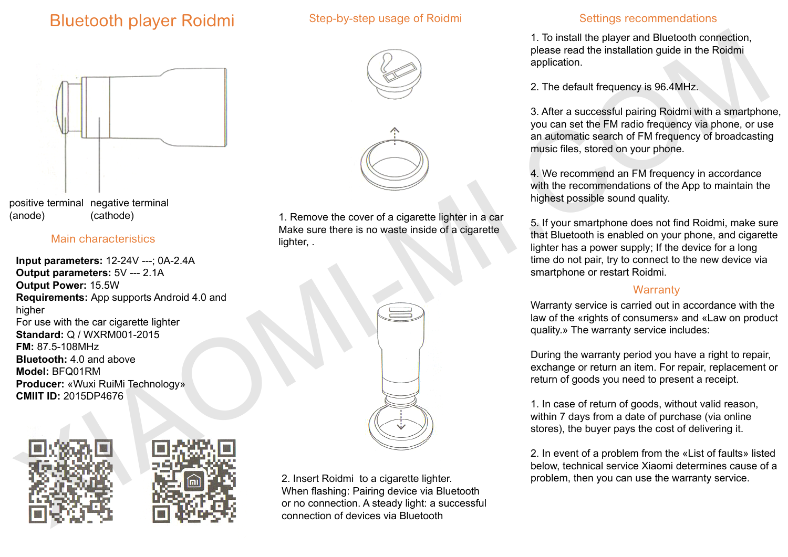# Bluetooth player Roidmi

## Step-by-step usage of Roidmi



## Main characteristics

**Input parameters:** 12-24V ---; 0A-2.4A **Output parameters:** 5V --- 2.1A **Output Power:** 15.5W **Requirements:** App supports Android 4.0 and higher For use with the car cigarette lighter **Standard:** Q / WXRM001-2015 **FM:** 87.5-108MHz **Bluetooth:** 4.0 and above **Model:** BFQ01RM **Producer:** «Wuxi RuiMi Technology» **CMIIT ID:** 2015DP4676





2. Insert Roidmi to a cigarette lighter. When flashing: Pairing device via Bluetooth or no connection. A steady light: a successful connection of devices via Bluetooth

## Settings recommendations

1. To install the player and Bluetooth connection, please read the installation guide in the Roidmi application.

2. The default frequency is 96.4MHz.

3. After a successful pairing Roidmi with a smartphone, you can set the FM radio frequency via phone, or use an automatic search of FM frequency of broadcasting music files, stored on your phone.

4. We recommend an FM frequency in accordance with the recommendations of the App to maintain the highest possible sound quality.

5. If your smartphone does not find Roidmi, make sure that Bluetooth is enabled on your phone, and cigarette lighter has a power supply; If the device for a long time do not pair, try to connect to the new device via smartphone or restart Roidmi.

## **Warranty**

Warranty service is carried out in accordance with the law of the «rights of consumers» and «Law on product quality.» The warranty service includes:

During the warranty period you have a right to repair, exchange or return an item. For repair, replacement or return of goods you need to present a receipt.

1. In case of return of goods, without valid reason, within 7 days from a date of purchase (via online stores), the buyer pays the cost of delivering it.

2. In event of a problem from the «List of faults» listed below, technical service Xiaomi determines cause of a problem, then you can use the warranty service.

1. Remove the cover of a cigarette lighter in a car Make sure there is no waste inside of a cigarette

lighter, .